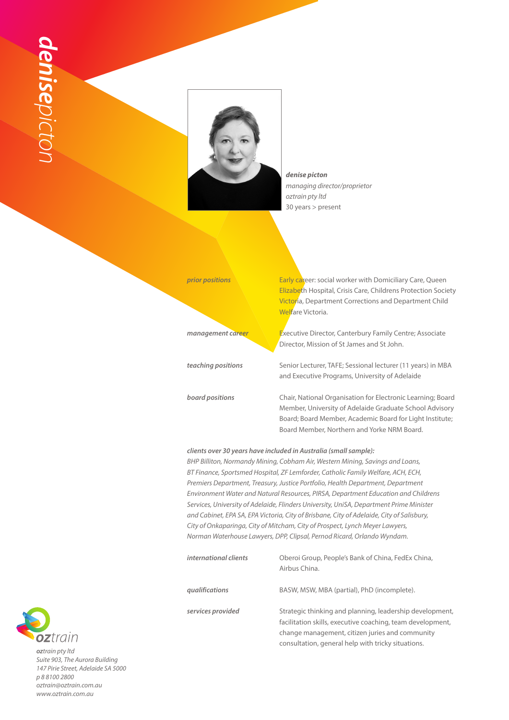

*denise picton managing director/proprietor oztrain pty ltd* 30 years > present



## *clients over 30 years have included in Australia (small sample):*

*BHP Billiton, Normandy Mining, Cobham Air, Western Mining, Savings and Loans, BT Finance, Sportsmed Hospital, ZF Lemforder, Catholic Family Welfare, ACH, ECH, Premiers Department, Treasury, Justice Portfolio, Health Department, Department Environment Water and Natural Resources, PIRSA, Department Education and Childrens Services, University of Adelaide, Flinders University, UniSA, Department Prime Minister and Cabinet, EPA SA, EPA Victoria, City of Brisbane, City of Adelaide, City of Salisbury, City of Onkaparinga, City of Mitcham, City of Prospect, Lynch Meyer Lawyers, Norman Waterhouse Lawyers, DPP, Clipsal, Pernod Ricard, Orlando Wyndam.*

| international clients | Oberoi Group, People's Bank of China, FedEx China,<br>Airbus China.                                                                                                                                                             |
|-----------------------|---------------------------------------------------------------------------------------------------------------------------------------------------------------------------------------------------------------------------------|
| qualifications        | BASW, MSW, MBA (partial), PhD (incomplete).                                                                                                                                                                                     |
| services provided     | Strategic thinking and planning, leadership development,<br>facilitation skills, executive coaching, team development,<br>change management, citizen juries and community<br>consultation, general help with tricky situations. |



*oztrain pty ltd Suite 903, The Aurora Building 147 Pirie Street, Adelaide SA 5000 p 8 8100 2800 oztrain@oztrain.com.au www.oztrain.com.au*